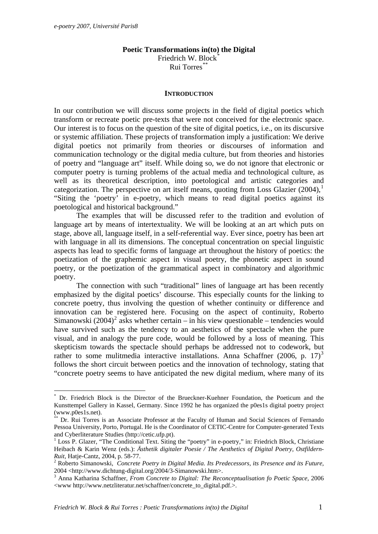1

## **Poetic Transformations in(to) the Digital**

Friedrich W. Block<sup>[\\*](#page-0-0)</sup> Rui Torres[\\*\\*](#page-0-1)

## **INTRODUCTION**

In our contribution we will discuss some projects in the field of digital poetics which transform or recreate poetic pre-texts that were not conceived for the electronic space. Our interest is to focus on the question of the site of digital poetics, i.e., on its discursive or systemic affiliation. These projects of transformation imply a justification: We derive digital poetics not primarily from theories or discourses of information and communication technology or the digital media culture, but from theories and histories of poetry and "language art" itself. While doing so, we do not ignore that electronic or computer poetry is turning problems of the actual media and technological culture, as well as its theoretical description, into poetological and artistic categories and categorization. The perspective on art itself means, quoting from Loss Glazier  $(2004)$ , "Siting the 'poetry' in e-poetry, which means to read digital poetics against its poetological and historical background."

The examples that will be discussed refer to the tradition and evolution of language art by means of intertextuality. We will be looking at an art which puts on stage, above all, language itself, in a self-referential way. Ever since, poetry has been art with language in all its dimensions. The conceptual concentration on special linguistic aspects has lead to specific forms of language art throughout the history of poetics: the poetization of the graphemic aspect in visual poetry, the phonetic aspect in sound poetry, or the poetization of the grammatical aspect in combinatory and algorithmic poetry.

The connection with such "traditional" lines of language art has been recently emphasized by the digital poetics' discourse. This especially counts for the linking to concrete poetry, thus involving the question of whether continuity or difference and innovation can be registered here. Focusing on the aspect of continuity, Roberto Simanowski  $(2004)^2$  $(2004)^2$  $(2004)^2$  asks whether certain – in his view questionable – tendencies would have survived such as the tendency to an aesthetics of the spectacle when the pure visual, and in analogy the pure code, would be followed by a loss of meaning. This skepticism towards the spectacle should perhaps be addressed not to codework, but rather to some mulitmedia interactive installations. Anna Schaffner (2006, p. 17)<sup>[3](#page-0-4)</sup> follows the short circuit between poetics and the innovation of technology, stating that "concrete poetry seems to have anticipated the new digital medium, where many of its

<span id="page-0-0"></span><sup>\*</sup> Dr. Friedrich Block is the Director of the Brueckner-Kuehner Foundation, the Poeticum and the Kunsttempel Gallery in Kassel, Germany. Since 1992 he has organized the p0es1s digital poetry project (www.p0es1s.net).

<span id="page-0-1"></span>Dr. Rui Torres is an Associate Professor at the Faculty of Human and Social Sciences of Fernando Pessoa University, Porto, Portugal. He is the Coordinator of CETIC-Centre for Computer-generated Texts and Cyberliterature Studies (http://cetic.ufp.pt).

<span id="page-0-2"></span><sup>&</sup>lt;sup>1</sup> Loss P. Glazer, "The Conditional Text. Siting the "poetry" in e-poetry," in: Friedrich Block, Christiane Heibach & Karin Wenz (eds.): *Ästhetik digitaler Poesie / The Aesthetics of Digital Poetry, Ostfildern-Ruit,* Hatje-Cantz, 2004, p. 58-77. 2

<span id="page-0-3"></span>Roberto Simanowski, *Concrete Poetry in Digital Media. Its Predecessors, its Presence and its Future,* 2004 <http://www.dichtung-digital.org/2004/3-Simanowski.htm>. 3

<span id="page-0-4"></span>Anna Katharina Schaffner, *From Concrete to Digital: The Reconceptualisation fo Poetic Space,* 2006 <www http://www.netzliteratur.net/schaffner/concrete\_to\_digital.pdf.>.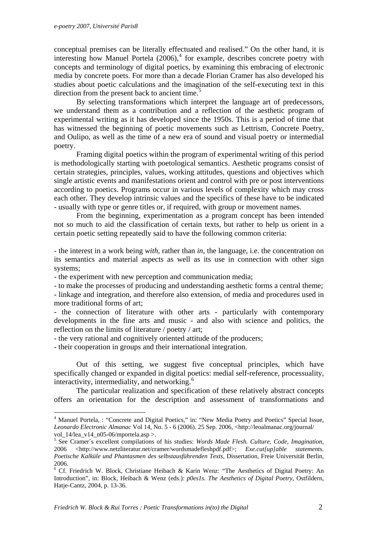conceptual premises can be literally effectuated and realised." On the other hand, it is interesting how Manuel Portela  $(2006)$ ,<sup>[4](#page-1-0)</sup> for example, describes concrete poetry with concepts and terminology of digital poetics, by examining this embracing of electronic media by concrete poets. For more than a decade Florian Cramer has also developed his studies about poetic calculations and the imagination of the self-executing text in this direction from the present back to ancient time. $5$ 

By selecting transformations which interpret the language art of predecessors, we understand them as a contribution and a reflection of the aesthetic program of experimental writing as it has developed since the 1950s. This is a period of time that has witnessed the beginning of poetic movements such as Lettrism, Concrete Poetry, and Oulipo, as well as the time of a new era of sound and visual poetry or intermedial poetry.

Framing digital poetics within the program of experimental writing of this period is methodologically starting with poetological semantics. Aesthetic programs consist of certain strategies, principles, values, working attitudes, questions and objectives which single artistic events and manifestations orient and control with pre or post interventions according to poetics. Programs occur in various levels of complexity which may cross each other. They develop intrinsic values and the specifics of these have to be indicated - usually with type or genre titles or, if required, with group or movement names.

From the beginning, experimentation as a program concept has been intended not so much to aid the classification of certain texts, but rather to help us orient in a certain poetic setting repeatedly said to have the following common criteria:

- the interest in a work being *with,* rather than *in,* the language, i.e. the concentration on its semantics and material aspects as well as its use in connection with other sign systems;

- the experiment with new perception and communication media;

- to make the processes of producing and understanding aesthetic forms a central theme;

- linkage and integration, and therefore also extension, of media and procedures used in more traditional forms of art;

- the connection of literature with other arts - particularly with contemporary developments in the fine arts and music - and also with science and politics, the reflection on the limits of literature / poetry / art;

- the very rational and cognitively oriented attitude of the producers;

- their cooperation in groups and their international integration.

1

Out of this setting, we suggest five conceptual principles, which have specifically changed or expanded in digital poetics: medial self-reference, processuality, interactivity, intermediality, and networking. $6$ 

The particular realization and specification of these relatively abstract concepts offers an orientation for the description and assessment of transformations and

<span id="page-1-0"></span><sup>&</sup>lt;sup>4</sup> Manuel Portela, : "Concrete and Digital Poetics," in: "New Media Poetry and Poetics" Special Issue, *Leonardo Electronic Almanac* Vol 14, No. 5 - 6 (2006). 25 Sep. 2006, <http://leoalmanac.org/journal/ vol  $14/lea$  v $14$  n $05-06/mportela.$ asp >.

<span id="page-1-1"></span><sup>5</sup> See Cramer´s excellent compilations of his studies: *Words Made Flesh. Culture, Code, Imagination,* 2006 <http://www.netzliteratur.net/cramer/wordsmadefleshpdf.pdf>; *Exe.cut[up]able statements. Poetische Kalküle und Phantasmen des selbstausführenden Texts,* Dissertation, Freie Universität Berlin, 2006.

<span id="page-1-2"></span><sup>&</sup>lt;sup>6</sup> Cf. Friedrich W. Block, Christiane Heibach & Karin Wenz: "The Aesthetics of Digital Poetry: An Introduction", in: Block, Heibach & Wenz (eds.): *p0es1s. The Aesthetics of Digital Poetry*, Ostfildern, Hatje-Cantz, 2004, p. 13-36.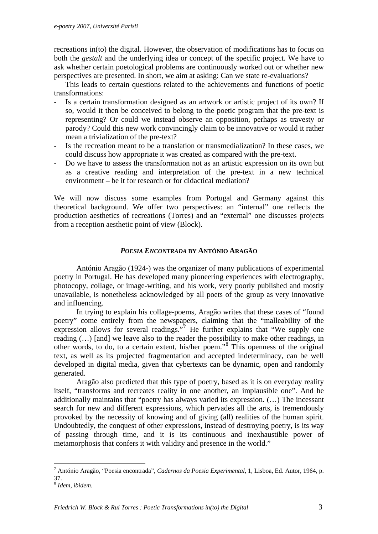recreations in(to) the digital. However, the observation of modifications has to focus on both the *gestalt* and the underlying idea or concept of the specific project. We have to ask whether certain poetological problems are continuously worked out or whether new perspectives are presented. In short, we aim at asking: Can we state re-evaluations?

This leads to certain questions related to the achievements and functions of poetic transformations:

- Is a certain transformation designed as an artwork or artistic project of its own? If so, would it then be conceived to belong to the poetic program that the pre-text is representing? Or could we instead observe an opposition, perhaps as travesty or parody? Could this new work convincingly claim to be innovative or would it rather mean a trivialization of the pre-text?
- Is the recreation meant to be a translation or transmedialization? In these cases, we could discuss how appropriate it was created as compared with the pre-text.
- Do we have to assess the transformation not as an artistic expression on its own but as a creative reading and interpretation of the pre-text in a new technical environment – be it for research or for didactical mediation?

We will now discuss some examples from Portugal and Germany against this theoretical background. We offer two perspectives: an "internal" one reflects the production aesthetics of recreations (Torres) and an "external" one discusses projects from a reception aesthetic point of view (Block).

# *POESIA ENCONTRADA* **BY ANTÓNIO ARAGÃO**

António Aragão (1924-) was the organizer of many publications of experimental poetry in Portugal. He has developed many pioneering experiences with electrography, photocopy, collage, or image-writing, and his work, very poorly published and mostly unavailable, is nonetheless acknowledged by all poets of the group as very innovative and influencing.

In trying to explain his collage-poems, Aragão writes that these cases of "found poetry" come entirely from the newspapers, claiming that the "malleability of the expression allows for several readings."<sup>[7](#page-2-0)</sup> He further explains that "We supply one reading (...) [and] we leave also to the reader the possibility to make other readings, in other words, to do, to a certain extent, his/her poem."[8](#page-2-1) This openness of the original text, as well as its projected fragmentation and accepted indeterminacy, can be well developed in digital media, given that cybertexts can be dynamic, open and randomly generated.

 Aragão also predicted that this type of poetry, based as it is on everyday reality itself, "transforms and recreates reality in one another, an implausible one". And he additionally maintains that "poetry has always varied its expression. (…) The incessant search for new and different expressions, which pervades all the arts, is tremendously provoked by the necessity of knowing and of giving (all) realities of the human spirit. Undoubtedly, the conquest of other expressions, instead of destroying poetry, is its way of passing through time, and it is its continuous and inexhaustible power of metamorphosis that confers it with validity and presence in the world."

<span id="page-2-0"></span> 7 António Aragão, "Poesia encontrada", *Cadernos da Poesia Experimental*, 1, Lisboa, Ed. Autor, 1964, p. 37.

<span id="page-2-1"></span><sup>8</sup> *Idem, ibidem*.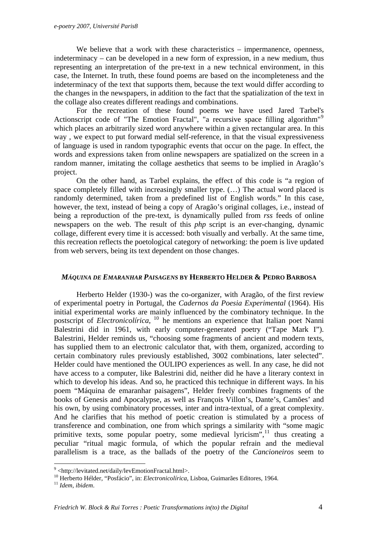We believe that a work with these characteristics – impermanence, openness, indeterminacy – can be developed in a new form of expression, in a new medium, thus representing an interpretation of the pre-text in a new technical environment, in this case, the Internet. In truth, these found poems are based on the incompleteness and the indeterminacy of the text that supports them, because the text would differ according to the changes in the newspapers, in addition to the fact that the spatialization of the text in the collage also creates different readings and combinations.

For the recreation of these found poems we have used Jared Tarbel's Actionscript code of "The Emotion Fractal", "a recursive space filling algorithm"<sup>[9](#page-3-0)</sup> which places an arbitrarily sized word anywhere within a given rectangular area. In this way , we expect to put forward medial self-reference, in that the visual expressiveness of language is used in random typographic events that occur on the page. In effect, the words and expressions taken from online newspapers are spatialized on the screen in a random manner, imitating the collage aesthetics that seems to be implied in Aragão's project.

On the other hand, as Tarbel explains, the effect of this code is "a region of space completely filled with increasingly smaller type. (…) The actual word placed is randomly determined, taken from a predefined list of English words." In this case, however, the text, instead of being a copy of Aragão's original collages, i.e., instead of being a reproduction of the pre-text, is dynamically pulled from *rss* feeds of online newspapers on the web. The result of this *php* script is an ever-changing, dynamic collage, different every time it is accessed: both visually and verbally. At the same time, this recreation reflects the poetological category of networking: the poem is live updated from web servers, being its text dependent on those changes.

## *MÁQUINA DE EMARANHAR PAISAGENS* **BY HERBERTO HELDER & PEDRO BARBOSA**

Herberto Helder (1930-) was the co-organizer, with Aragão, of the first review of experimental poetry in Portugal, the *Cadernos da Poesia Experimental* (1964). His initial experimental works are mainly influenced by the combinatory technique. In the postscript of *Electronicolírica*, <sup>[10](#page-3-1)</sup> he mentions an experience that Italian poet Nanni Balestrini did in 1961, with early computer-generated poetry ("Tape Mark I"). Balestrini, Helder reminds us, "choosing some fragments of ancient and modern texts, has supplied them to an electronic calculator that, with them, organized, according to certain combinatory rules previously established, 3002 combinations, later selected". Helder could have mentioned the OULIPO experiences as well. In any case, he did not have access to a computer, like Balestrini did, neither did he have a literary context in which to develop his ideas. And so, he practiced this technique in different ways. In his poem "Máquina de emaranhar paisagens", Helder freely combines fragments of the books of Genesis and Apocalypse, as well as François Villon's, Dante's, Camões' and his own, by using combinatory processes, inter and intra-textual, of a great complexity. And he clarifies that his method of poetic creation is stimulated by a process of transference and combination, one from which springs a similarity with "some magic primitive texts, some popular poetry, some medieval lyricism",<sup>[11](#page-3-2)</sup> thus creating a peculiar "ritual magic formula, of which the popular refrain and the medieval parallelism is a trace, as the ballads of the poetry of the *Cancioneiros* seem to

1

<span id="page-3-0"></span><sup>&</sup>lt;sup>9</sup> <http://levitated.net/daily/levEmotionFractal.html>.

<span id="page-3-1"></span><sup>&</sup>lt;sup>10</sup> Herberto Hélder, "Posfácio", in: *Electronicolírica*, Lisboa, Guimarães Editores, 1964.<br><sup>11</sup> Idem. ibidem.

<span id="page-3-2"></span>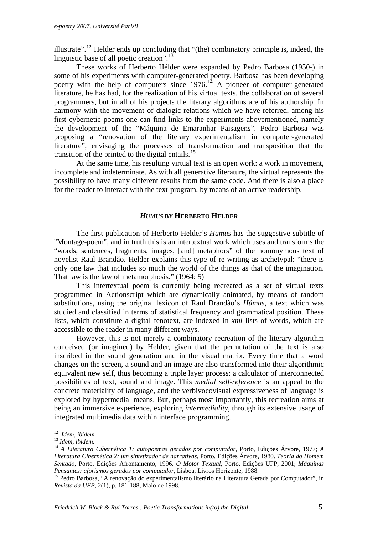illustrate".<sup>[12](#page-4-0)</sup> Helder ends up concluding that "(the) combinatory principle is, indeed, the linguistic base of all poetic creation".<sup>[13](#page-4-1)</sup>

 These works of Herberto Hélder were expanded by Pedro Barbosa (1950-) in some of his experiments with computer-generated poetry. Barbosa has been developing poetry with the help of computers since  $1976$ .<sup>[14](#page-4-2)</sup> A pioneer of computer-generated literature, he has had, for the realization of his virtual texts, the collaboration of several programmers, but in all of his projects the literary algorithms are of his authorship. In harmony with the movement of dialogic relations which we have referred, among his first cybernetic poems one can find links to the experiments abovementioned, namely the development of the "Máquina de Emaranhar Paisagens". Pedro Barbosa was proposing a "renovation of the literary experimentalism in computer-generated literature", envisaging the processes of transformation and transposition that the transition of the printed to the digital entails.<sup>[15](#page-4-3)</sup>

At the same time, his resulting virtual text is an open work: a work in movement, incomplete and indeterminate. As with all generative literature, the virtual represents the possibility to have many different results from the same code. And there is also a place for the reader to interact with the text-program, by means of an active readership.

#### *HUMUS* **BY HERBERTO HELDER**

The first publication of Herberto Helder's *Humus* has the suggestive subtitle of "Montage-poem", and in truth this is an intertextual work which uses and transforms the "words, sentences, fragments, images, [and] metaphors" of the homonymous text of novelist Raul Brandão. Helder explains this type of re-writing as archetypal: "there is only one law that includes so much the world of the things as that of the imagination. That law is the law of metamorphosis." (1964: 5)

 This intertextual poem is currently being recreated as a set of virtual texts programmed in Actionscript which are dynamically animated, by means of random substitutions, using the original lexicon of Raul Brandão's *Húmus*, a text which was studied and classified in terms of statistical frequency and grammatical position. These lists, which constitute a digital fenotext, are indexed in *xml* lists of words, which are accessible to the reader in many different ways.

However, this is not merely a combinatory recreation of the literary algorithm conceived (or imagined) by Helder, given that the permutation of the text is also inscribed in the sound generation and in the visual matrix. Every time that a word changes on the screen, a sound and an image are also transformed into their algorithmic equivalent new self, thus becoming a triple layer process: a calculator of interconnected possibilities of text, sound and image. This *medial self-reference* is an appeal to the concrete materiality of language, and the verbivocovisual expressiveness of language is explored by hypermedial means. But, perhaps most importantly, this recreation aims at being an immersive experience, exploring *intermediality*, through its extensive usage of integrated multimedia data within interface programming.

<span id="page-4-0"></span> $12$  Idem, ibidem.

<span id="page-4-2"></span><span id="page-4-1"></span><sup>12</sup>*Idem, ibidem.* <sup>13</sup> *Idem, ibidem.* <sup>14</sup> *A Literatura Cibernética 1: autopoemas gerados por computador,* Porto, Edições Árvore, 1977; *<sup>A</sup> Literatura Cibernética 2: um sintetizador de narrativas,* Porto, Edições Árvore, 1980. *Teoria do Homem Sentado*, Porto, Edições Afrontamento, 1996. *O Motor Textual*, Porto, Edições UFP, 2001; *Máquinas Pensantes: aforismos gerados por computador, Lisboa, Livros Horizonte, 1988.*<br><sup>15</sup> Pedro Barbosa, "A renovação do experimentalismo literário na Literatura Gerada por Computador", in

<span id="page-4-3"></span>*Revista da UFP*, 2(1), p. 181-188, Maio de 1998.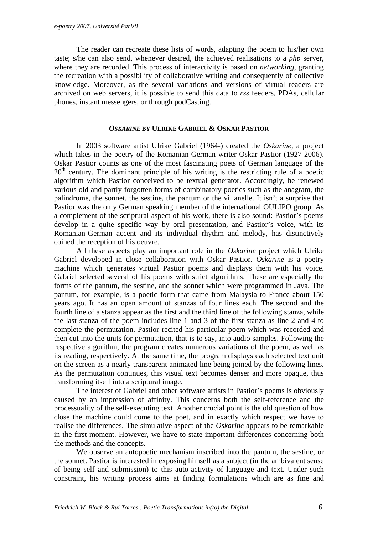The reader can recreate these lists of words, adapting the poem to his/her own taste; s/he can also send, whenever desired, the achieved realisations to a *php* server, where they are recorded. This process of interactivity is based on *networking*, granting the recreation with a possibility of collaborative writing and consequently of collective knowledge. Moreover, as the several variations and versions of virtual readers are archived on web servers, it is possible to send this data to *rss* feeders, PDAs, cellular phones, instant messengers, or through podCasting.

## *OSKARINE* **BY ULRIKE GABRIEL & OSKAR PASTIOR**

In 2003 software artist Ulrike Gabriel (1964-) created the *Oskarine*, a project which takes in the poetry of the Romanian-German writer Oskar Pastior (1927-2006). Oskar Pastior counts as one of the most fascinating poets of German language of the  $20<sup>th</sup>$  century. The dominant principle of his writing is the restricting rule of a poetic algorithm which Pastior conceived to be textual generator. Accordingly, he renewed various old and partly forgotten forms of combinatory poetics such as the anagram, the palindrome, the sonnet, the sestine, the pantum or the villanelle. It isn't a surprise that Pastior was the only German speaking member of the international OULIPO group. As a complement of the scriptural aspect of his work, there is also sound: Pastior's poems develop in a quite specific way by oral presentation, and Pastior's voice, with its Romanian-German accent and its individual rhythm and melody, has distinctively coined the reception of his oeuvre.

All these aspects play an important role in the *Oskarine* project which Ulrike Gabriel developed in close collaboration with Oskar Pastior. *Oskarine* is a poetry machine which generates virtual Pastior poems and displays them with his voice. Gabriel selected several of his poems with strict algorithms. These are especially the forms of the pantum, the sestine, and the sonnet which were programmed in Java. The pantum, for example, is a poetic form that came from Malaysia to France about 150 years ago. It has an open amount of stanzas of four lines each. The second and the fourth line of a stanza appear as the first and the third line of the following stanza, while the last stanza of the poem includes line 1 and 3 of the first stanza as line 2 and 4 to complete the permutation. Pastior recited his particular poem which was recorded and then cut into the units for permutation, that is to say, into audio samples. Following the respective algorithm, the program creates numerous variations of the poem, as well as its reading, respectively. At the same time, the program displays each selected text unit on the screen as a nearly transparent animated line being joined by the following lines. As the permutation continues, this visual text becomes denser and more opaque, thus transforming itself into a scriptural image.

The interest of Gabriel and other software artists in Pastior's poems is obviously caused by an impression of affinity. This concerns both the self-reference and the processuality of the self-executing text. Another crucial point is the old question of how close the machine could come to the poet, and in exactly which respect we have to realise the differences. The simulative aspect of the *Oskarine* appears to be remarkable in the first moment. However, we have to state important differences concerning both the methods and the concepts.

We observe an autopoetic mechanism inscribed into the pantum, the sestine, or the sonnet. Pastior is interested in exposing himself as a subject (in the ambivalent sense of being self and submission) to this auto-activity of language and text. Under such constraint, his writing process aims at finding formulations which are as fine and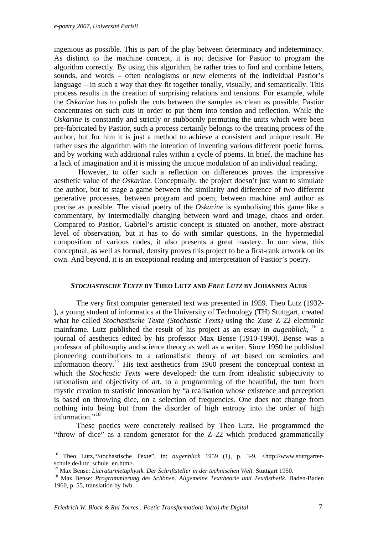ingenious as possible. This is part of the play between determinacy and indeterminacy. As distinct to the machine concept, it is not decisive for Pastior to program the algorithm correctly. By using this algorithm, he rather tries to find and combine letters, sounds, and words – often neologisms or new elements of the individual Pastior's language – in such a way that they fit together tonally, visually, and semantically. This process results in the creation of surprising relations and tensions. For example, while the *Oskarine* has to polish the cuts between the samples as clean as possible, Pastior concentrates on such cuts in order to put them into tension and reflection. While the *Oskarine* is constantly and strictly or stubbornly permuting the units which were been pre-fabricated by Pastior, such a process certainly belongs to the creating process of the author, but for him it is just a method to achieve a consistent and unique result. He rather uses the algorithm with the intention of inventing various different poetic forms, and by working with additional rules within a cycle of poems. In brief, the machine has a lack of imagination and it is missing the unique modulation of an individual reading.

 However, to offer such a reflection on differences proves the impressive aesthetic value of the *Oskarine*. Conceptually, the project doesn't just want to simulate the author, but to stage a game between the similarity and difference of two different generative processes, between program and poem, between machine and author as precise as possible. The visual poetry of the *Oskarine* is symbolising this game like a commentary, by intermedially changing between word and image, chaos and order. Compared to Pastior, Gabriel's artistic concept is situated on another, more abstract level of observation, but it has to do with similar questions. In the hypermedial composition of various codes, it also presents a great mastery. In our view, this conceptual, as well as formal, density proves this project to be a first-rank artwork on its own. And beyond, it is an exceptional reading and interpretation of Pastior's poetry.

## *STOCHASTISCHE TEXTE* **BY THEO LUTZ AND** *FREE LUTZ* **BY JOHANNES AUER**

The very first computer generated text was presented in 1959. Theo Lutz (1932- ), a young student of informatics at the University of Technology (TH) Stuttgart, created what he called *Stochastische Texte (Stochastic Texts)* using the Zuse Z 22 electronic mainframe. Lutz published the result of his project as an essay in *augenblick*, [16](#page-6-0) a journal of aesthetics edited by his professor Max Bense (1910-1990). Bense was a professor of philosophy and science theory as well as a writer. Since 1950 he published pioneering contributions to a rationalistic theory of art based on semiotics and information theory.<sup>[17](#page-6-1)</sup> His text aesthetics from 1960 present the conceptual context in which the *Stochastic Texts* were developed: the turn from idealistic subjectivity to rationalism and objectivity of art, to a programming of the beautiful, the turn from mystic creation to statistic innovation by "a realisation whose existence and perception is based on throwing dice, on a selection of frequencies. One does not change from nothing into being but from the disorder of high entropy into the order of high information."<sup>[18](#page-6-2)</sup>

These poetics were concretely realised by Theo Lutz. He programmed the "throw of dice" as a random generator for the Z 22 which produced grammatically

1

<span id="page-6-0"></span><sup>16</sup> Theo Lutz,"Stochastische Texte", in: *augenblick* 1959 (1), p. 3-9, <http://www.stuttgarterschule.de/lutz\_schule\_en.htm>.<br><sup>17</sup> Max Bense: *Literaturmetaphysik. Der Schriftsteller in der technischen Welt.* Stuttgart 1950.

<span id="page-6-2"></span><span id="page-6-1"></span><sup>&</sup>lt;sup>18</sup> Max Bense: *Programmierung des Schönen. Allgemeine Texttheorie und Textästhetik. Baden-Baden* 1960, p. 55, translation by fwb.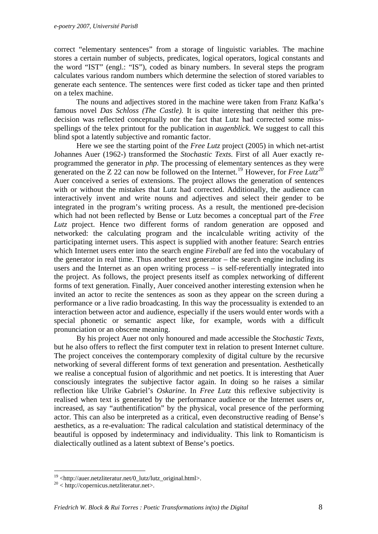correct "elementary sentences" from a storage of linguistic variables. The machine stores a certain number of subjects, predicates, logical operators, logical constants and the word "IST" (engl.: "IS"), coded as binary numbers. In several steps the program calculates various random numbers which determine the selection of stored variables to generate each sentence. The sentences were first coded as ticker tape and then printed on a telex machine.

The nouns and adjectives stored in the machine were taken from Franz Kafka's famous novel *Das Schloss (The Castle).* It is quite interesting that neither this predecision was reflected conceptually nor the fact that Lutz had corrected some missspellings of the telex printout for the publication in *augenblick*. We suggest to call this blind spot a latently subjective and romantic factor.

Here we see the starting point of the *Free Lutz* project (2005) in which net-artist Johannes Auer (1962-) transformed the *Stochastic Texts.* First of all Auer exactly reprogrammed the generator in *php*. The processing of elementary sentences as they were generated on the Z 22 can now be followed on the Internet.[19](#page-7-0) However, for *Free Lutz[20](#page-7-1)* Auer conceived a series of extensions. The project allows the generation of sentences with or without the mistakes that Lutz had corrected. Additionally, the audience can interactively invent and write nouns and adjectives and select their gender to be integrated in the program's writing process. As a result, the mentioned pre-decision which had not been reflected by Bense or Lutz becomes a conceptual part of the *Free Lutz* project. Hence two different forms of random generation are opposed and networked: the calculating program and the incalculable writing activity of the participating internet users. This aspect is supplied with another feature: Search entries which Internet users enter into the search engine *Fireball* are fed into the vocabulary of the generator in real time. Thus another text generator – the search engine including its users and the Internet as an open writing process – is self-referentially integrated into the project. As follows, the project presents itself as complex networking of different forms of text generation. Finally, Auer conceived another interesting extension when he invited an actor to recite the sentences as soon as they appear on the screen during a performance or a live radio broadcasting. In this way the processuality is extended to an interaction between actor and audience, especially if the users would enter words with a special phonetic or semantic aspect like, for example, words with a difficult pronunciation or an obscene meaning.

By his project Auer not only honoured and made accessible the *Stochastic Texts*, but he also offers to reflect the first computer text in relation to present Internet culture. The project conceives the contemporary complexity of digital culture by the recursive networking of several different forms of text generation and presentation. Aesthetically we realise a conceptual fusion of algorithmic and net poetics. It is interesting that Auer consciously integrates the subjective factor again. In doing so he raises a similar reflection like Ulrike Gabriel's *Oskarine*. In *Free Lutz* this reflexive subjectivity is realised when text is generated by the performance audience or the Internet users or, increased, as say "authentification" by the physical, vocal presence of the performing actor. This can also be interpreted as a critical, even deconstructive reading of Bense's aesthetics, as a re-evaluation: The radical calculation and statistical determinacy of the beautiful is opposed by indeterminacy and individuality. This link to Romanticism is dialectically outlined as a latent subtext of Bense's poetics.

1

<span id="page-7-0"></span><sup>&</sup>lt;sup>19</sup> <http://auer.netzliteratur.net/0\_lutz/lutz\_original.html>.

<span id="page-7-1"></span><sup>20 &</sup>lt; http://copernicus.netzliteratur.net>.